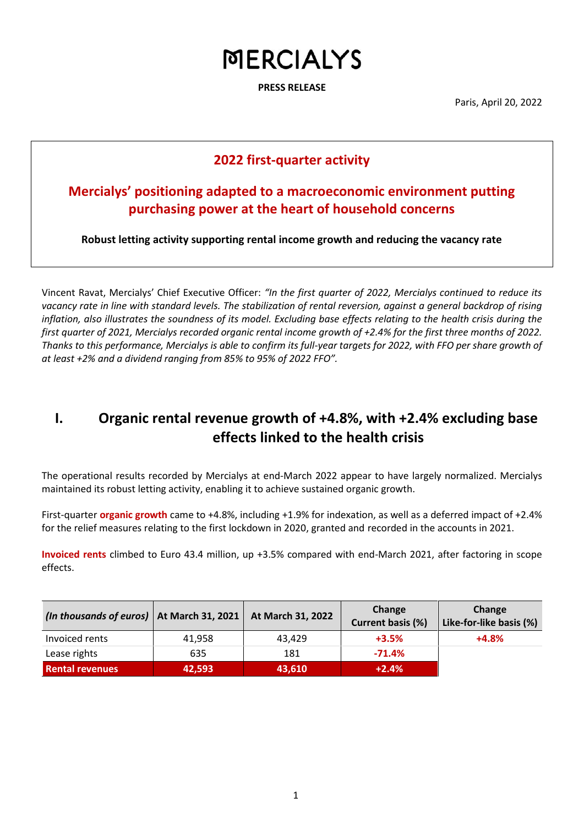**PRESS RELEASE**

Paris, April 20, 2022

#### **2022 first-quarter activity**

### **Mercialys' positioning adapted to a macroeconomic environment putting purchasing power at the heart of household concerns**

**Robust letting activity supporting rental income growth and reducing the vacancy rate** 

Vincent Ravat, Mercialys' Chief Executive Officer: *"In the first quarter of 2022, Mercialys continued to reduce its vacancy rate in line with standard levels. The stabilization of rental reversion, against a general backdrop of rising inflation, also illustrates the soundness of its model. Excluding base effects relating to the health crisis during the first quarter of 2021, Mercialys recorded organic rental income growth of +2.4% for the first three months of 2022. Thanks to this performance, Mercialys is able to confirm its full-year targets for 2022, with FFO per share growth of at least +2% and a dividend ranging from 85% to 95% of 2022 FFO".*

## **I. Organic rental revenue growth of +4.8%, with +2.4% excluding base effects linked to the health crisis**

The operational results recorded by Mercialys at end-March 2022 appear to have largely normalized. Mercialys maintained its robust letting activity, enabling it to achieve sustained organic growth.

First-quarter **organic growth** came to +4.8%, including +1.9% for indexation, as well as a deferred impact of +2.4% for the relief measures relating to the first lockdown in 2020, granted and recorded in the accounts in 2021.

**Invoiced rents** climbed to Euro 43.4 million, up +3.5% compared with end-March 2021, after factoring in scope effects.

| (In thousands of euros)   At March 31, 2021   At March 31, 2022 |        |        | Change<br><b>Current basis (%)</b> | Change<br>Like-for-like basis (%) |
|-----------------------------------------------------------------|--------|--------|------------------------------------|-----------------------------------|
| Invoiced rents                                                  | 41.958 | 43.429 | $+3.5%$                            | $+4.8%$                           |
| Lease rights                                                    | 635    | 181    | $-71.4%$                           |                                   |
| <b>Rental revenues</b>                                          | 42,593 | 43,610 | $+2.4%$                            |                                   |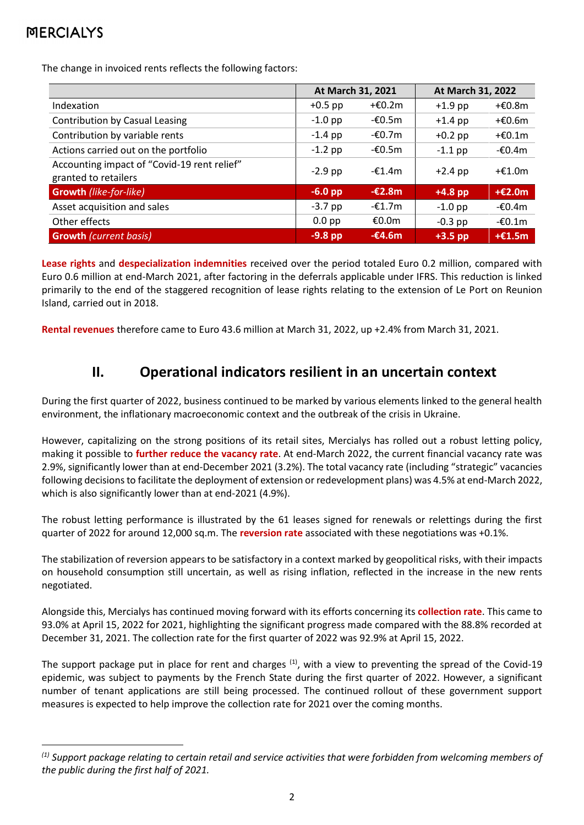The change in invoiced rents reflects the following factors:

|                                                                     | At March 31, 2021 |                  | At March 31, 2022 |          |
|---------------------------------------------------------------------|-------------------|------------------|-------------------|----------|
| Indexation                                                          | $+0.5$ pp         | $+£0.2m$         | $+1.9$ pp         | +€0.8m   |
| <b>Contribution by Casual Leasing</b>                               | $-1.0$ pp         | -€0.5m           | $+1.4$ pp         | $+£0.6m$ |
| Contribution by variable rents                                      | $-1.4$ pp         | $-£0.7m$         | $+0.2$ pp         | $+£0.1m$ |
| Actions carried out on the portfolio                                | $-1.2$ pp         | $-60.5m$         | $-1.1$ pp         | $-£0.4m$ |
| Accounting impact of "Covid-19 rent relief"<br>granted to retailers | $-2.9$ pp         | $-£1.4m$         | $+2.4$ pp         | $+£1.0m$ |
| <b>Growth (like-for-like)</b>                                       | $-6.0$ pp         | $-\epsilon$ 2.8m | $+4.8$ pp         | $+£2.0m$ |
| Asset acquisition and sales                                         | $-3.7$ pp         | -€1.7m           | $-1.0$ pp         | $-£0.4m$ |
| Other effects                                                       | $0.0$ pp          | €0.0m            | $-0.3$ pp         | $-60.1m$ |
| <b>Growth (current basis)</b>                                       | $-9.8$ pp         | $-£4.6m$         | $+3.5$ pp         | $+£1.5m$ |

**Lease rights** and **despecialization indemnities** received over the period totaled Euro 0.2 million, compared with Euro 0.6 million at end-March 2021, after factoring in the deferrals applicable under IFRS. This reduction is linked primarily to the end of the staggered recognition of lease rights relating to the extension of Le Port on Reunion Island, carried out in 2018.

**Rental revenues** therefore came to Euro 43.6 million at March 31, 2022, up +2.4% from March 31, 2021.

### **II. Operational indicators resilient in an uncertain context**

During the first quarter of 2022, business continued to be marked by various elements linked to the general health environment, the inflationary macroeconomic context and the outbreak of the crisis in Ukraine.

However, capitalizing on the strong positions of its retail sites, Mercialys has rolled out a robust letting policy, making it possible to **further reduce the vacancy rate**. At end-March 2022, the current financial vacancy rate was 2.9%, significantly lower than at end-December 2021 (3.2%). The total vacancy rate (including "strategic" vacancies following decisions to facilitate the deployment of extension or redevelopment plans) was 4.5% at end-March 2022, which is also significantly lower than at end-2021 (4.9%).

The robust letting performance is illustrated by the 61 leases signed for renewals or relettings during the first quarter of 2022 for around 12,000 sq.m. The **reversion rate** associated with these negotiations was +0.1%.

The stabilization of reversion appears to be satisfactory in a context marked by geopolitical risks, with their impacts on household consumption still uncertain, as well as rising inflation, reflected in the increase in the new rents negotiated.

Alongside this, Mercialys has continued moving forward with its efforts concerning its **collection rate**. This came to 93.0% at April 15, 2022 for 2021, highlighting the significant progress made compared with the 88.8% recorded at December 31, 2021. The collection rate for the first quarter of 2022 was 92.9% at April 15, 2022.

The support package put in place for rent and charges  $^{(1)}$ , with a view to preventing the spread of the Covid-19 epidemic, was subject to payments by the French State during the first quarter of 2022. However, a significant number of tenant applications are still being processed. The continued rollout of these government support measures is expected to help improve the collection rate for 2021 over the coming months.

*<sup>(1)</sup> Support package relating to certain retail and service activities that were forbidden from welcoming members of the public during the first half of 2021.*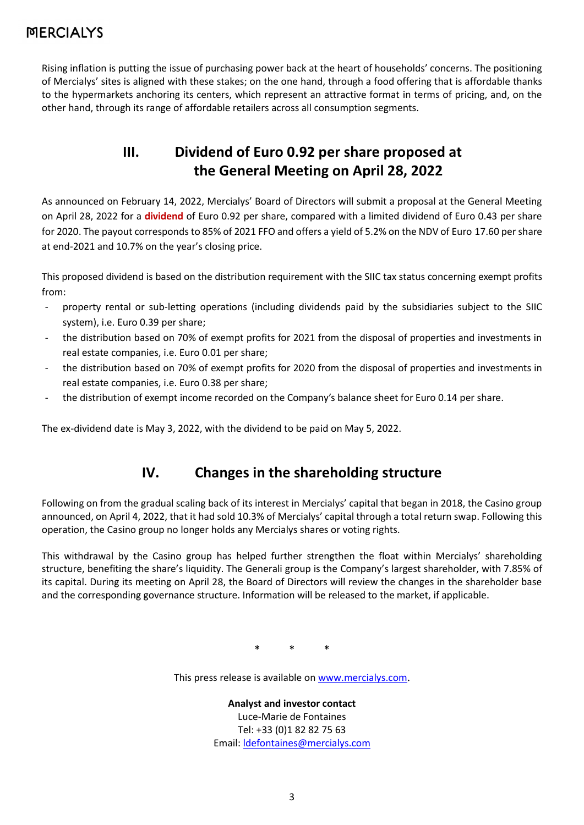Rising inflation is putting the issue of purchasing power back at the heart of households' concerns. The positioning of Mercialys' sites is aligned with these stakes; on the one hand, through a food offering that is affordable thanks to the hypermarkets anchoring its centers, which represent an attractive format in terms of pricing, and, on the other hand, through its range of affordable retailers across all consumption segments.

## **III. Dividend of Euro 0.92 per share proposed at the General Meeting on April 28, 2022**

As announced on February 14, 2022, Mercialys' Board of Directors will submit a proposal at the General Meeting on April 28, 2022 for a **dividend** of Euro 0.92 per share, compared with a limited dividend of Euro 0.43 per share for 2020. The payout corresponds to 85% of 2021 FFO and offers a yield of 5.2% on the NDV of Euro 17.60 per share at end-2021 and 10.7% on the year's closing price.

This proposed dividend is based on the distribution requirement with the SIIC tax status concerning exempt profits from:

- property rental or sub-letting operations (including dividends paid by the subsidiaries subject to the SIIC system), i.e. Euro 0.39 per share;
- the distribution based on 70% of exempt profits for 2021 from the disposal of properties and investments in real estate companies, i.e. Euro 0.01 per share;
- the distribution based on 70% of exempt profits for 2020 from the disposal of properties and investments in real estate companies, i.e. Euro 0.38 per share;
- the distribution of exempt income recorded on the Company's balance sheet for Euro 0.14 per share.

The ex-dividend date is May 3, 2022, with the dividend to be paid on May 5, 2022.

## **IV. Changes in the shareholding structure**

Following on from the gradual scaling back of its interest in Mercialys' capital that began in 2018, the Casino group announced, on April 4, 2022, that it had sold 10.3% of Mercialys' capital through a total return swap. Following this operation, the Casino group no longer holds any Mercialys shares or voting rights.

This withdrawal by the Casino group has helped further strengthen the float within Mercialys' shareholding structure, benefiting the share's liquidity. The Generali group is the Company's largest shareholder, with 7.85% of its capital. During its meeting on April 28, the Board of Directors will review the changes in the shareholder base and the corresponding governance structure. Information will be released to the market, if applicable.

\* \* \*

This press release is available on [www.mercialys.com](http://www.mercialys.com/).

**Analyst and investor contact** Luce-Marie de Fontaines Tel: +33 (0)1 82 82 75 63 Email[: ldefontaines@mercialys.com](mailto:ldefontaines@mercialys.com)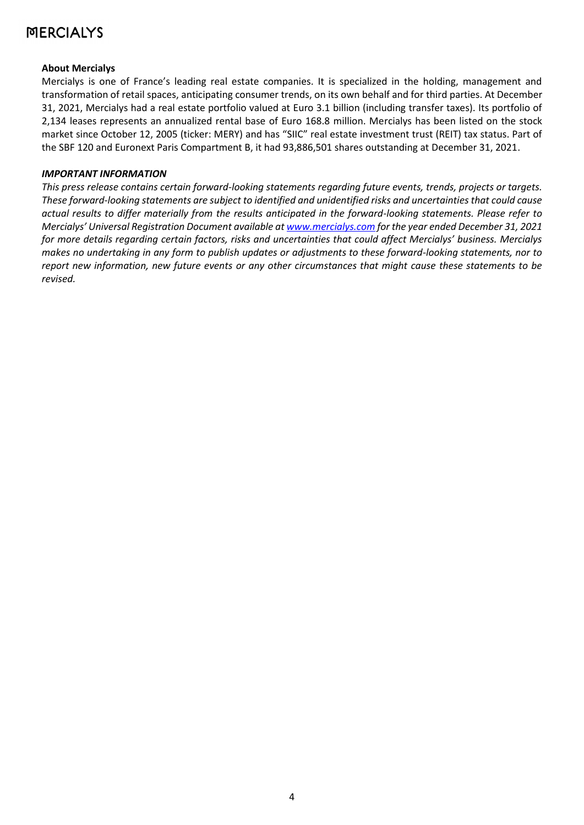#### **About Mercialys**

Mercialys is one of France's leading real estate companies. It is specialized in the holding, management and transformation of retail spaces, anticipating consumer trends, on its own behalf and for third parties. At December 31, 2021, Mercialys had a real estate portfolio valued at Euro 3.1 billion (including transfer taxes). Its portfolio of 2,134 leases represents an annualized rental base of Euro 168.8 million. Mercialys has been listed on the stock market since October 12, 2005 (ticker: MERY) and has "SIIC" real estate investment trust (REIT) tax status. Part of the SBF 120 and Euronext Paris Compartment B, it had 93,886,501 shares outstanding at December 31, 2021.

#### *IMPORTANT INFORMATION*

*This press release contains certain forward-looking statements regarding future events, trends, projects or targets. These forward-looking statements are subject to identified and unidentified risks and uncertainties that could cause actual results to differ materially from the results anticipated in the forward-looking statements. Please refer to Mercialys' Universal Registration Document available at [www.mercialys.com](http://www.mercialys.com/) for the year ended December 31, 2021 for more details regarding certain factors, risks and uncertainties that could affect Mercialys' business. Mercialys makes no undertaking in any form to publish updates or adjustments to these forward-looking statements, nor to report new information, new future events or any other circumstances that might cause these statements to be revised.*